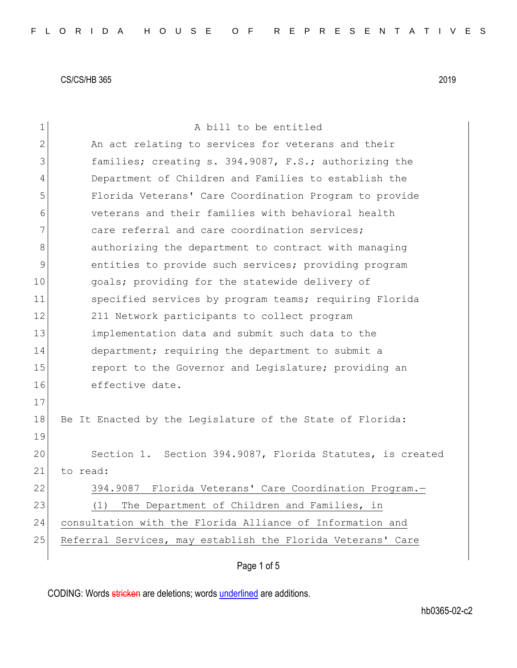| 1              | A bill to be entitled                                       |
|----------------|-------------------------------------------------------------|
| $\overline{2}$ | An act relating to services for veterans and their          |
| 3              | families; creating s. 394.9087, F.S.; authorizing the       |
| 4              | Department of Children and Families to establish the        |
| 5              | Florida Veterans' Care Coordination Program to provide      |
| 6              | veterans and their families with behavioral health          |
| 7              | care referral and care coordination services;               |
| 8              | authorizing the department to contract with managing        |
| 9              | entities to provide such services; providing program        |
| 10             | goals; providing for the statewide delivery of              |
| 11             | specified services by program teams; requiring Florida      |
| 12             | 211 Network participants to collect program                 |
| 13             | implementation data and submit such data to the             |
| 14             | department; requiring the department to submit a            |
| 15             | report to the Governor and Legislature; providing an        |
| 16             | effective date.                                             |
| 17             |                                                             |
| 18             | Be It Enacted by the Legislature of the State of Florida:   |
| 19             |                                                             |
| 20             | Section 1. Section 394.9087, Florida Statutes, is created   |
| 21             | to read:                                                    |
| 22             | 394.9087 Florida Veterans' Care Coordination Program.-      |
| 23             | The Department of Children and Families, in<br>(1)          |
| 24             | consultation with the Florida Alliance of Information and   |
| 25             | Referral Services, may establish the Florida Veterans' Care |
|                |                                                             |

Page 1 of 5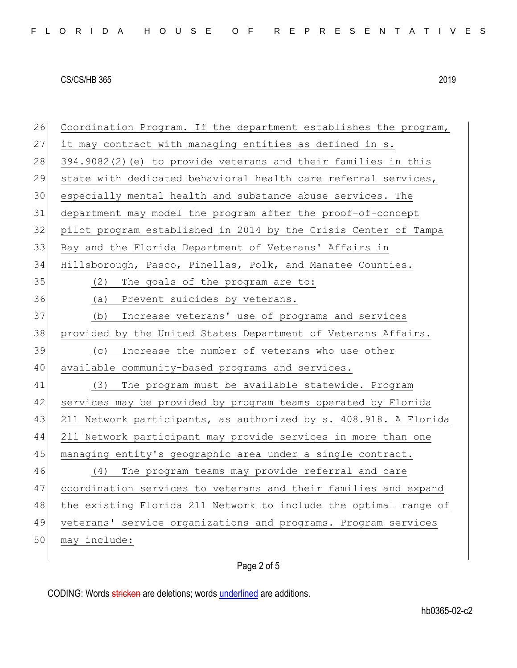| 26 | Coordination Program. If the department establishes the program, |
|----|------------------------------------------------------------------|
| 27 | it may contract with managing entities as defined in s.          |
| 28 | 394.9082(2)(e) to provide veterans and their families in this    |
| 29 | state with dedicated behavioral health care referral services,   |
| 30 | especially mental health and substance abuse services. The       |
| 31 | department may model the program after the proof-of-concept      |
| 32 | pilot program established in 2014 by the Crisis Center of Tampa  |
| 33 | Bay and the Florida Department of Veterans' Affairs in           |
| 34 | Hillsborough, Pasco, Pinellas, Polk, and Manatee Counties.       |
| 35 | The goals of the program are to:<br>(2)                          |
| 36 | (a) Prevent suicides by veterans.                                |
| 37 | Increase veterans' use of programs and services<br>(b)           |
| 38 | provided by the United States Department of Veterans Affairs.    |
| 39 | Increase the number of veterans who use other<br>(C)             |
| 40 | available community-based programs and services.                 |
| 41 | The program must be available statewide. Program<br>(3)          |
| 42 | services may be provided by program teams operated by Florida    |
| 43 | 211 Network participants, as authorized by s. 408.918. A Florida |
| 44 | 211 Network participant may provide services in more than one    |
| 45 | managing entity's geographic area under a single contract.       |
| 46 | The program teams may provide referral and care<br>(4)           |
| 47 | coordination services to veterans and their families and expand  |
| 48 | the existing Florida 211 Network to include the optimal range of |
| 49 | veterans' service organizations and programs. Program services   |
| 50 | may include:                                                     |
|    |                                                                  |

# Page 2 of 5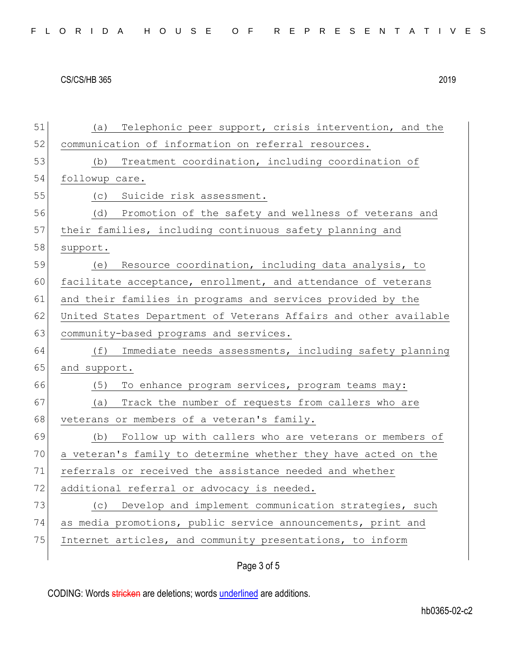| 51 | Telephonic peer support, crisis intervention, and the<br>(a)     |
|----|------------------------------------------------------------------|
| 52 | communication of information on referral resources.              |
| 53 | Treatment coordination, including coordination of<br>(b)         |
| 54 | followup care.                                                   |
| 55 | Suicide risk assessment.<br>(C)                                  |
| 56 | Promotion of the safety and wellness of veterans and<br>(d)      |
| 57 | their families, including continuous safety planning and         |
| 58 | support.                                                         |
| 59 | Resource coordination, including data analysis, to<br>(e)        |
| 60 | facilitate acceptance, enrollment, and attendance of veterans    |
| 61 | and their families in programs and services provided by the      |
| 62 | United States Department of Veterans Affairs and other available |
| 63 | community-based programs and services.                           |
| 64 | Immediate needs assessments, including safety planning<br>(f)    |
| 65 | and support.                                                     |
| 66 | To enhance program services, program teams may:<br>(5)           |
| 67 | Track the number of requests from callers who are<br>(a)         |
| 68 | veterans or members of a veteran's family.                       |
| 69 | Follow up with callers who are veterans or members of<br>(b)     |
| 70 | a veteran's family to determine whether they have acted on the   |
| 71 | referrals or received the assistance needed and whether          |
| 72 | additional referral or advocacy is needed.                       |
| 73 | (c) Develop and implement communication strategies, such         |
| 74 | as media promotions, public service announcements, print and     |
| 75 | Internet articles, and community presentations, to inform        |
|    |                                                                  |

# Page 3 of 5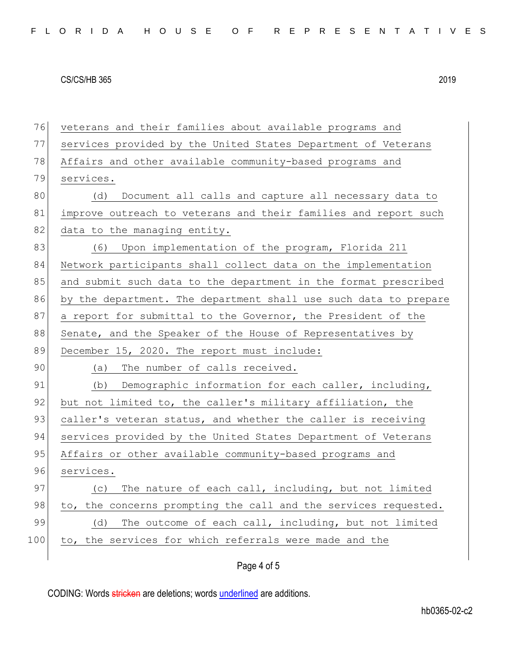| 76  | veterans and their families about available programs and         |
|-----|------------------------------------------------------------------|
| 77  | services provided by the United States Department of Veterans    |
| 78  | Affairs and other available community-based programs and         |
| 79  | services.                                                        |
| 80  | Document all calls and capture all necessary data to<br>(d)      |
| 81  | improve outreach to veterans and their families and report such  |
| 82  | data to the managing entity.                                     |
| 83  | (6) Upon implementation of the program, Florida 211              |
| 84  | Network participants shall collect data on the implementation    |
| 85  | and submit such data to the department in the format prescribed  |
| 86  | by the department. The department shall use such data to prepare |
| 87  | a report for submittal to the Governor, the President of the     |
| 88  | Senate, and the Speaker of the House of Representatives by       |
| 89  | December 15, 2020. The report must include:                      |
| 90  | The number of calls received.<br>(a)                             |
| 91  | (b) Demographic information for each caller, including,          |
| 92  | but not limited to, the caller's military affiliation, the       |
| 93  | caller's veteran status, and whether the caller is receiving     |
| 94  | services provided by the United States Department of Veterans    |
| 95  | Affairs or other available community-based programs and          |
| 96  | services.                                                        |
| 97  | The nature of each call, including, but not limited<br>(C)       |
| 98  | to, the concerns prompting the call and the services requested.  |
| 99  |                                                                  |
|     | The outcome of each call, including, but not limited<br>(d)      |
| 100 | to, the services for which referrals were made and the           |

# Page 4 of 5